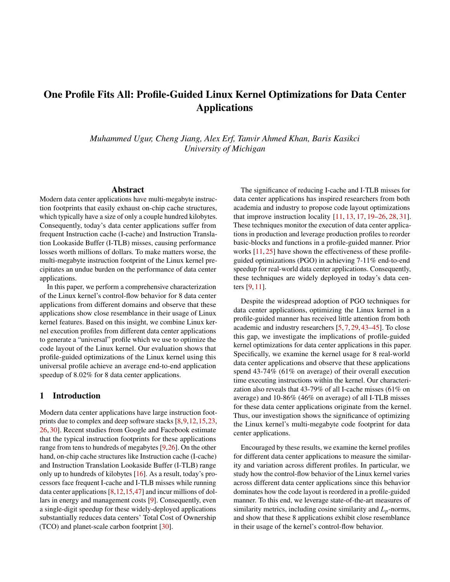# One Profile Fits All: Profile-Guided Linux Kernel Optimizations for Data Center Applications

*Muhammed Ugur, Cheng Jiang, Alex Erf, Tanvir Ahmed Khan, Baris Kasikci University of Michigan*

#### Abstract

Modern data center applications have multi-megabyte instruction footprints that easily exhaust on-chip cache structures, which typically have a size of only a couple hundred kilobytes. Consequently, today's data center applications suffer from frequent Instruction cache (I-cache) and Instruction Translation Lookaside Buffer (I-TLB) misses, causing performance losses worth millions of dollars. To make matters worse, the multi-megabyte instruction footprint of the Linux kernel precipitates an undue burden on the performance of data center applications.

In this paper, we perform a comprehensive characterization of the Linux kernel's control-flow behavior for 8 data center applications from different domains and observe that these applications show close resemblance in their usage of Linux kernel features. Based on this insight, we combine Linux kernel execution profiles from different data center applications to generate a "universal" profile which we use to optimize the code layout of the Linux kernel. Our evaluation shows that profile-guided optimizations of the Linux kernel using this universal profile achieve an average end-to-end application speedup of 8.02% for 8 data center applications.

#### 1 Introduction

Modern data center applications have large instruction footprints due to complex and deep software stacks [\[8,](#page-5-0)[9,](#page-5-1)[12,](#page-5-2)[15,](#page-5-3)[23,](#page-6-0) [26,](#page-6-1) [30\]](#page-6-2). Recent studies from Google and Facebook estimate that the typical instruction footprints for these applications range from tens to hundreds of megabytes [\[9,](#page-5-1)[26\]](#page-6-1). On the other hand, on-chip cache structures like Instruction cache (I-cache) and Instruction Translation Lookaside Buffer (I-TLB) range only up to hundreds of kilobytes [\[16\]](#page-5-4). As a result, today's processors face frequent I-cache and I-TLB misses while running data center applications [\[8,](#page-5-0)[12,](#page-5-2)[15](#page-5-3)[,47\]](#page-7-0) and incur millions of dollars in energy and management costs [\[9\]](#page-5-1). Consequently, even a single-digit speedup for these widely-deployed applications substantially reduces data centers' Total Cost of Ownership (TCO) and planet-scale carbon footprint [\[30\]](#page-6-2).

The significance of reducing I-cache and I-TLB misses for data center applications has inspired researchers from both academia and industry to propose code layout optimizations that improve instruction locality [\[11,](#page-5-5) [13,](#page-5-6) [17,](#page-5-7) [19–](#page-6-3)[26,](#page-6-1) [28,](#page-6-4) [31\]](#page-6-5). These techniques monitor the execution of data center applications in production and leverage production profiles to reorder basic-blocks and functions in a profile-guided manner. Prior works [\[11,](#page-5-5) [25\]](#page-6-6) have shown the effectiveness of these profileguided optimizations (PGO) in achieving 7-11% end-to-end speedup for real-world data center applications. Consequently, these techniques are widely deployed in today's data centers [\[9,](#page-5-1) [11\]](#page-5-5).

Despite the widespread adoption of PGO techniques for data center applications, optimizing the Linux kernel in a profile-guided manner has received little attention from both academic and industry researchers [\[5,](#page-5-8) [7,](#page-5-9) [29,](#page-6-7) [43–](#page-7-1)[45\]](#page-7-2). To close this gap, we investigate the implications of profile-guided kernel optimizations for data center applications in this paper. Specifically, we examine the kernel usage for 8 real-world data center applications and observe that these applications spend 43-74% (61% on average) of their overall execution time executing instructions within the kernel. Our characterization also reveals that 43-79% of all I-cache misses (61% on average) and 10-86% (46% on average) of all I-TLB misses for these data center applications originate from the kernel. Thus, our investigation shows the significance of optimizing the Linux kernel's multi-megabyte code footprint for data center applications.

Encouraged by these results, we examine the kernel profiles for different data center applications to measure the similarity and variation across different profiles. In particular, we study how the control-flow behavior of the Linux kernel varies across different data center applications since this behavior dominates how the code layout is reordered in a profile-guided manner. To this end, we leverage state-of-the-art measures of similarity metrics, including cosine similarity and  $L_p$ -norms, and show that these 8 applications exhibit close resemblance in their usage of the kernel's control-flow behavior.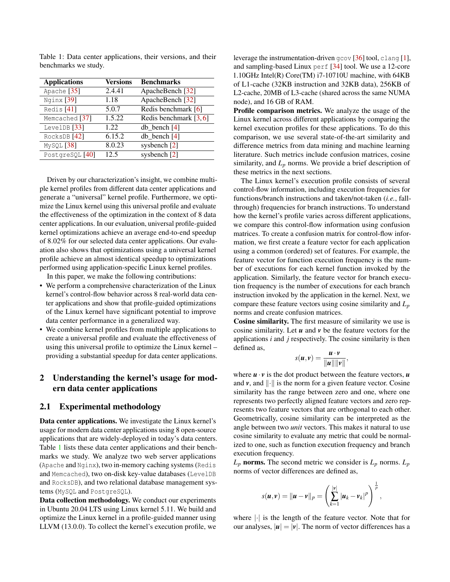| <b>Applications</b>   | <b>Versions</b> | <b>Benchmarks</b>         |
|-----------------------|-----------------|---------------------------|
| Apache $[35]$         | 2.4.41          | ApacheBench [32]          |
| Nginx <sup>[39]</sup> | 1.18            | ApacheBench [32]          |
| Redis <sup>[41]</sup> | 5.0.7           | Redis benchmark [6]       |
| Memcached [37]        | 1.5.22          | Redis benchmark [3, 6]    |
| LevelDB $[33]$        | 1.22            | $db_{\text{.}}$ bench [4] |
| RocksDB [42]          | 6.15.2          | $db$ bench $[4]$          |
| MySQL <sup>[38]</sup> | 8.0.23          | sysbench [2]              |
| PostgreSQL [40]       | 12.5            | sysbench [2]              |

<span id="page-1-0"></span>Table 1: Data center applications, their versions, and their benchmarks we study.

Driven by our characterization's insight, we combine multiple kernel profiles from different data center applications and generate a "universal" kernel profile. Furthermore, we optimize the Linux kernel using this universal profile and evaluate the effectiveness of the optimization in the context of 8 data center applications. In our evaluation, universal profile-guided kernel optimizations achieve an average end-to-end speedup of 8.02% for our selected data center applications. Our evaluation also shows that optimizations using a universal kernel profile achieve an almost identical speedup to optimizations performed using application-specific Linux kernel profiles.

In this paper, we make the following contributions:

- We perform a comprehensive characterization of the Linux kernel's control-flow behavior across 8 real-world data center applications and show that profile-guided optimizations of the Linux kernel have significant potential to improve data center performance in a generalized way.
- We combine kernel profiles from multiple applications to create a universal profile and evaluate the effectiveness of using this universal profile to optimize the Linux kernel – providing a substantial speedup for data center applications.

### 2 Understanding the kernel's usage for modern data center applications

### <span id="page-1-1"></span>2.1 Experimental methodology

Data center applications. We investigate the Linux kernel's usage for modern data center applications using 8 open-source applications that are widely-deployed in today's data centers. Table [1](#page-1-0) lists these data center applications and their benchmarks we study. We analyze two web server applications (Apache and Nginx), two in-memory caching systems (Redis and Memcached), two on-disk key-value databases (LevelDB and RocksDB), and two relational database management systems (MySQL and PostgreSQL).

Data collection methodology. We conduct our experiments in Ubuntu 20.04 LTS using Linux kernel 5.11. We build and optimize the Linux kernel in a profile-guided manner using LLVM (13.0.0). To collect the kernel's execution profile, we leverage the instrumentation-driven gcov [\[36\]](#page-6-13) tool, clang [\[1\]](#page-5-14), and sampling-based Linux perf [\[34\]](#page-6-14) tool. We use a 12-core 1.10GHz Intel(R) Core(TM) i7-10710U machine, with 64KB of L1-cache (32KB instruction and 32KB data), 256KB of L2-cache, 20MB of L3-cache (shared across the same NUMA node), and 16 GB of RAM.

Profile comparison metrics. We analyze the usage of the Linux kernel across different applications by comparing the kernel execution profiles for these applications. To do this comparison, we use several state-of-the-art similarity and difference metrics from data mining and machine learning literature. Such metrics include confusion matrices, cosine similarity, and *L<sup>p</sup>* norms. We provide a brief description of these metrics in the next sections.

The Linux kernel's execution profile consists of several control-flow information, including execution frequencies for functions/branch instructions and taken/not-taken (*i.e.*, fallthrough) frequencies for branch instructions. To understand how the kernel's profile varies across different applications, we compare this control-flow information using confusion matrices. To create a confusion matrix for control-flow information, we first create a feature vector for each application using a common (ordered) set of features. For example, the feature vector for function execution frequency is the number of executions for each kernel function invoked by the application. Similarly, the feature vector for branch execution frequency is the number of executions for each branch instruction invoked by the application in the kernel. Next, we compare these feature vectors using cosine similarity and *L<sup>p</sup>* norms and create confusion matrices.

Cosine similarity. The first measure of similarity we use is cosine similarity. Let *u* and *v* be the feature vectors for the applications *i* and *j* respectively. The cosine similarity is then defined as,

$$
s(u,v)=\frac{u\cdot v}{\|u\|\|v\|},
$$

where  $\mathbf{u} \cdot \mathbf{v}$  is the dot product between the feature vectors,  $\mathbf{u}$ and *v*, and ∥·∥ is the norm for a given feature vector. Cosine similarity has the range between zero and one, where one represents two perfectly aligned feature vectors and zero represents two feature vectors that are orthogonal to each other. Geometrically, cosine similarity can be interpreted as the angle between two *unit* vectors. This makes it natural to use cosine similarity to evaluate any metric that could be normalized to one, such as function execution frequency and branch execution frequency.

 $L_p$  norms. The second metric we consider is  $L_p$  norms.  $L_p$ norms of vector differences are defined as,

$$
s(u, v) = ||u - v||_p = \left(\sum_{k=1}^{|v|} |u_k - v_k|^p\right)^{\frac{1}{p}}
$$

,

where  $|\cdot|$  is the length of the feature vector. Note that for our analyses,  $|\mathbf{u}| = |\mathbf{v}|$ . The norm of vector differences has a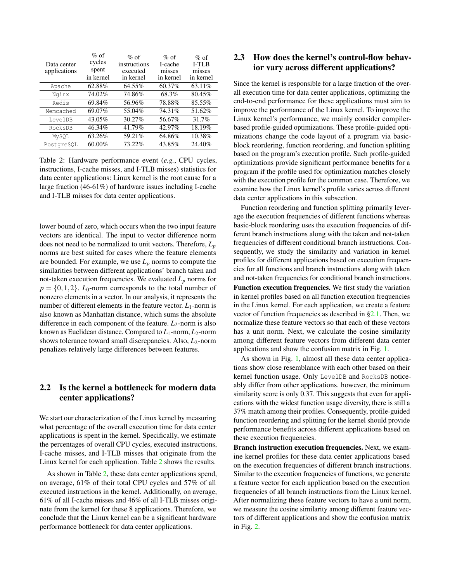<span id="page-2-0"></span>

| Data center<br>applications | $\%$ of<br>cycles<br>spent<br>in kernel | $%$ of<br>instructions<br>executed<br>in kernel | $%$ of<br>I-cache<br>misses<br>in kernel | $\%$ of<br><b>I-TLB</b><br>misses<br>in kernel |
|-----------------------------|-----------------------------------------|-------------------------------------------------|------------------------------------------|------------------------------------------------|
| Apache                      | 62.88%                                  | 64.55%                                          | 60.37%                                   | 63.11%                                         |
| Nginx                       | 74.02%                                  | 74.86%                                          | 68.3%                                    | 80.45%                                         |
| Redis                       | 69.84%                                  | 56.96%                                          | 78.88%                                   | 85.55%                                         |
| Memcached                   | 69.07%                                  | 55.04%                                          | 74.31%                                   | 51.62%                                         |
| LevelDB                     | 43.05%                                  | 30.27%                                          | 56.67%                                   | 31.7%                                          |
| RocksDB                     | 46.34%                                  | 41.79%                                          | 42.97%                                   | 18.19%                                         |
| MySQL                       | 63.26%                                  | 59.21%                                          | 64.86%                                   | 10.38%                                         |
| PostgreSOL                  | 60.00%                                  | 73.22%                                          | 43.85%                                   | 24.40%                                         |

Table 2: Hardware performance event (*e.g.*, CPU cycles, instructions, I-cache misses, and I-TLB misses) statistics for data center applications: Linux kernel is the root cause for a large fraction (46-61%) of hardware issues including I-cache and I-TLB misses for data center applications.

lower bound of zero, which occurs when the two input feature vectors are identical. The input to vector difference norm does not need to be normalized to unit vectors. Therefore, *L<sup>p</sup>* norms are best suited for cases where the feature elements are bounded. For example, we use  $L_p$  norms to compute the similarities between different applications' branch taken and not-taken execution frequencies. We evaluated *L<sup>p</sup>* norms for  $p = \{0, 1, 2\}$ . *L*<sub>0</sub>-norm corresponds to the total number of nonzero elements in a vector. In our analysis, it represents the number of different elements in the feature vector.  $L_1$ -norm is also known as Manhattan distance, which sums the absolute difference in each component of the feature.  $L_2$ -norm is also known as Euclidean distance. Compared to *L*1-norm, *L*2-norm shows tolerance toward small discrepancies. Also, *L*2-norm penalizes relatively large differences between features.

## 2.2 Is the kernel a bottleneck for modern data center applications?

We start our characterization of the Linux kernel by measuring what percentage of the overall execution time for data center applications is spent in the kernel. Specifically, we estimate the percentages of overall CPU cycles, executed instructions, I-cache misses, and I-TLB misses that originate from the Linux kernel for each application. Table [2](#page-2-0) shows the results.

As shown in Table [2,](#page-2-0) these data center applications spend, on average, 61% of their total CPU cycles and 57% of all executed instructions in the kernel. Additionally, on average, 61% of all I-cache misses and 46% of all I-TLB misses originate from the kernel for these 8 applications. Therefore, we conclude that the Linux kernel can be a significant hardware performance bottleneck for data center applications.

### 2.3 How does the kernel's control-flow behavior vary across different applications?

Since the kernel is responsible for a large fraction of the overall execution time for data center applications, optimizing the end-to-end performance for these applications must aim to improve the performance of the Linux kernel. To improve the Linux kernel's performance, we mainly consider compilerbased profile-guided optimizations. These profile-guided optimizations change the code layout of a program via basicblock reordering, function reordering, and function splitting based on the program's execution profile. Such profile-guided optimizations provide significant performance benefits for a program if the profile used for optimization matches closely with the execution profile for the common case. Therefore, we examine how the Linux kernel's profile varies across different data center applications in this subsection.

Function reordering and function splitting primarily leverage the execution frequencies of different functions whereas basic-block reordering uses the execution frequencies of different branch instructions along with the taken and not-taken frequencies of different conditional branch instructions. Consequently, we study the similarity and variation in kernel profiles for different applications based on execution frequencies for all functions and branch instructions along with taken and not-taken frequencies for conditional branch instructions. Function execution frequencies. We first study the variation in kernel profiles based on all function execution frequencies in the Linux kernel. For each application, we create a feature

vector of function frequencies as described in [§2.1.](#page-1-1) Then, we normalize these feature vectors so that each of these vectors has a unit norm. Next, we calculate the cosine similarity among different feature vectors from different data center applications and show the confusion matrix in Fig. [1.](#page-3-0)

As shown in Fig. [1,](#page-3-0) almost all these data center applications show close resemblance with each other based on their kernel function usage. Only LevelDB and RocksDB noticeably differ from other applications. however, the minimum similarity score is only 0.37. This suggests that even for applications with the widest function usage diversity, there is still a 37% match among their profiles. Consequently, profile-guided function reordering and splitting for the kernel should provide performance benefits across different applications based on these execution frequencies.

Branch instruction execution frequencies. Next, we examine kernel profiles for these data center applications based on the execution frequencies of different branch instructions. Similar to the execution frequencies of functions, we generate a feature vector for each application based on the execution frequencies of all branch instructions from the Linux kernel. After normalizing these feature vectors to have a unit norm, we measure the cosine similarity among different feature vectors of different applications and show the confusion matrix in Fig. [2.](#page-3-1)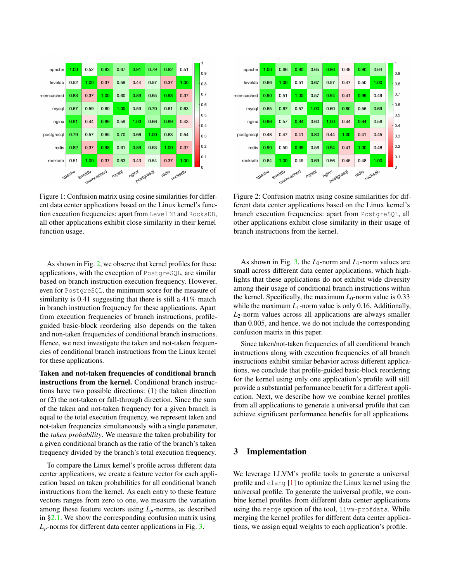<span id="page-3-0"></span>

Figure 1: Confusion matrix using cosine similarities for different data center applications based on the Linux kernel's function execution frequencies: apart from LevelDB and RocksDB, all other applications exhibit close similarity in their kernel function usage.

As shown in Fig. [2,](#page-3-1) we observe that kernel profiles for these applications, with the exception of PostgreSQL, are similar based on branch instruction execution frequency. However, even for PostgreSQL, the minimum score for the measure of similarity is 0.41 suggesting that there is still a 41% match in branch instruction frequency for these applications. Apart from execution frequencies of branch instructions, profileguided basic-block reordering also depends on the taken and non-taken frequencies of conditional branch instructions. Hence, we next investigate the taken and not-taken frequencies of conditional branch instructions from the Linux kernel for these applications.

Taken and not-taken frequencies of conditional branch instructions from the kernel. Conditional branch instructions have two possible directions: (1) the taken direction or (2) the not-taken or fall-through direction. Since the sum of the taken and not-taken frequency for a given branch is equal to the total execution frequency, we represent taken and not-taken frequencies simultaneously with a single parameter, the *taken probability*. We measure the taken probability for a given conditional branch as the ratio of the branch's taken frequency divided by the branch's total execution frequency.

To compare the Linux kernel's profile across different data center applications, we create a feature vector for each application based on taken probabilities for all conditional branch instructions from the kernel. As each entry to these feature vectors ranges from zero to one, we measure the variation among these feature vectors using  $L_p$ -norms, as described in [§2.1.](#page-1-1) We show the corresponding confusion matrix using  $L_p$ -norms for different data center applications in Fig. [3.](#page-4-0)

<span id="page-3-1"></span>

Figure 2: Confusion matrix using cosine similarities for different data center applications based on the Linux kernel's branch execution frequencies: apart from PostgreSQL, all other applications exhibit close similarity in their usage of branch instructions from the kernel.

As shown in Fig. [3,](#page-4-0) the  $L_0$ -norm and  $L_1$ -norm values are small across different data center applications, which highlights that these applications do not exhibit wide diversity among their usage of conditional branch instructions within the kernel. Specifically, the maximum  $L_0$ -norm value is  $0.33$ while the maximum  $L_1$ -norm value is only 0.16. Additionally, *L*2-norm values across all applications are always smaller than 0.005, and hence, we do not include the corresponding confusion matrix in this paper.

Since taken/not-taken frequencies of all conditional branch instructions along with execution frequencies of all branch instructions exhibit similar behavior across different applications, we conclude that profile-guided basic-block reordering for the kernel using only one application's profile will still provide a substantial performance benefit for a different application. Next, we describe how we combine kernel profiles from all applications to generate a universal profile that can achieve significant performance benefits for all applications.

### 3 Implementation

We leverage LLVM's profile tools to generate a universal profile and clang [\[1\]](#page-5-14) to optimize the Linux kernel using the universal profile. To generate the universal profile, we combine kernel profiles from different data center applications using the merge option of the tool, llvm-profdata. While merging the kernel profiles for different data center applications, we assign equal weights to each application's profile.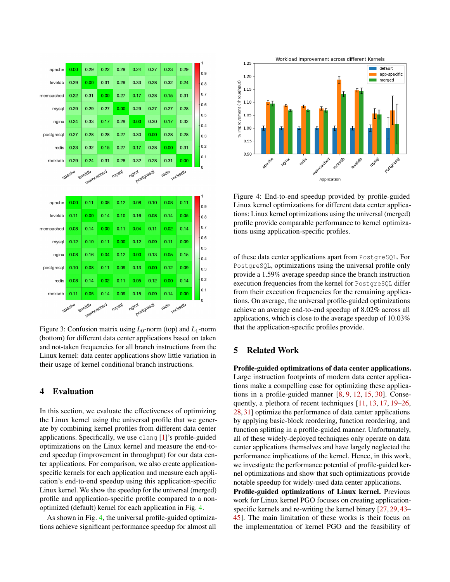<span id="page-4-0"></span>

|            |        |                   |      |       |            |                    |      |                | 1          |
|------------|--------|-------------------|------|-------|------------|--------------------|------|----------------|------------|
| apache     | 0.00   | 0.29              | 0.22 | 0.29  | 0.24       | 0.27               | 0.23 | 0.29           | 0.9        |
| leveldb    | 0.29   | 0.00              | 0.31 | 0.29  | 0.33       | 0.28               | 0.32 | 0.24           | 0.8        |
| memcached  | 0.22   | 0.31              | 0.00 | 0.27  | 0.17       | 0.28               | 0.15 | 0.31           | 0.7        |
| mysql      | 0.29   | 0.29              | 0.27 | 0.00  | 0.29       | 0.27               | 0.27 | 0.28           | 0.6        |
| nginx      | 0.24   | 0.33              | 0.17 | 0.29  | 0.00       | 0.30               | 0.17 | 0.32           | 0.5<br>0.4 |
| postgresql | 0.27   | 0.28              | 0.28 | 0.27  | 0.30       | 0.00               | 0.28 | 0.28           | 0.3        |
| redis      | 0.23   | 0.32              | 0.15 | 0.27  | 0.17       | 0.28               | 0.00 | 0.31           | 0.2        |
| rocksdb    | 0.29   | 0.24              | 0.31 | 0.28  | 0.32       | 0.28               | 0.31 | 0.00           | 0.1        |
|            | apache | leveldb           |      | mysal | ngint      |                    |      | <b>rocksdb</b> |            |
|            |        | memcached         |      |       | postgresal |                    |      |                | 1          |
| apache     | 0.00   | 0.11              | 0.08 | 0.12  | 0.08       | 0.10               | 0.08 | 0.11           | 0.9        |
| leveldb    | 0.11   | 0.00              | 0.14 | 0.10  | 0.16       | 0.08               | 0.14 | 0.05           | 0.8        |
| memcached  | 0.08   | 0.14              | 0.00 | 0.11  | 0.04       | 0.11               | 0.02 | 0.14           | 0.7        |
| mysql      | 0.12   | 0.10              | 0.11 | 0.00  | 0.12       | 0.09               | 0.11 | 0.09           | 0.6        |
| nginx      | 0.08   | 0.16              | 0.04 | 0.12  | 0.00       | 0.13               | 0.05 | 0.15           | 0.5<br>0.4 |
| postgresql | 0.10   | 0.08              | 0.11 | 0.09  | 0.13       | 0.00               | 0.12 | 0.09           | 0.3        |
| redis      | 0.08   | 0.14              | 0.02 | 0.11  | 0.05       | 0.12               | 0.00 | 0.14           | 0.2        |
| rocksdb    | 0.11   | 0.05<br>memcached | 0.14 | 0.09  | 0.15       | 0.09<br>postgresal | 0.14 | 0.00           | 0.1<br>0   |

Figure 3: Confusion matrix using  $L_0$ -norm (top) and  $L_1$ -norm (bottom) for different data center applications based on taken and not-taken frequencies for all branch instructions from the Linux kernel: data center applications show little variation in their usage of kernel conditional branch instructions.

### 4 Evaluation

In this section, we evaluate the effectiveness of optimizing the Linux kernel using the universal profile that we generate by combining kernel profiles from different data center applications. Specifically, we use clang [\[1\]](#page-5-14)'s profile-guided optimizations on the Linux kernel and measure the end-toend speedup (improvement in throughput) for our data center applications. For comparison, we also create applicationspecific kernels for each application and measure each application's end-to-end speedup using this application-specific Linux kernel. We show the speedup for the universal (merged) profile and application-specific profile compared to a nonoptimized (default) kernel for each application in Fig. [4.](#page-4-1)

As shown in Fig. [4,](#page-4-1) the universal profile-guided optimizations achieve significant performance speedup for almost all

<span id="page-4-1"></span>

Figure 4: End-to-end speedup provided by profile-guided Linux kernel optimizations for different data center applications: Linux kernel optimizations using the universal (merged) profile provide comparable performance to kernel optimizations using application-specific profiles.

of these data center applications apart from PostgreSQL. For PostgreSQL, optimizations using the universal profile only provide a 1.59% average speedup since the branch instruction execution frequencies from the kernel for PostgreSQL differ from their execution frequencies for the remaining applications. On average, the universal profile-guided optimizations achieve an average end-to-end speedup of 8.02% across all applications, which is close to the average speedup of 10.03% that the application-specific profiles provide.

### 5 Related Work

Profile-guided optimizations of data center applications. Large instruction footprints of modern data center applications make a compelling case for optimizing these applications in a profile-guided manner [\[8,](#page-5-0) [9,](#page-5-1) [12,](#page-5-2) [15,](#page-5-3) [30\]](#page-6-2). Consequently, a plethora of recent techniques [\[11,](#page-5-5) [13,](#page-5-6) [17,](#page-5-7) [19–](#page-6-3)[26,](#page-6-1) [28,](#page-6-4) [31\]](#page-6-5) optimize the performance of data center applications by applying basic-block reordering, function reordering, and function splitting in a profile-guided manner. Unfortunately, all of these widely-deployed techniques only operate on data center applications themselves and have largely neglected the performance implications of the kernel. Hence, in this work, we investigate the performance potential of profile-guided kernel optimizations and show that such optimizations provide notable speedup for widely-used data center applications.

Profile-guided optimizations of Linux kernel. Previous work for Linux kernel PGO focuses on creating applicationspecific kernels and re-writing the kernel binary [\[27,](#page-6-15) [29,](#page-6-7) [43–](#page-7-1) [45\]](#page-7-2). The main limitation of these works is their focus on the implementation of kernel PGO and the feasibility of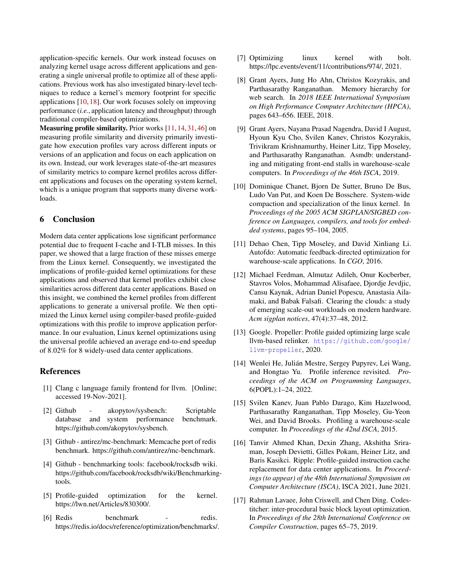application-specific kernels. Our work instead focuses on analyzing kernel usage across different applications and generating a single universal profile to optimize all of these applications. Previous work has also investigated binary-level techniques to reduce a kernel's memory footprint for specific applications [\[10,](#page-5-15) [18\]](#page-6-16). Our work focuses solely on improving performance (*i.e.*, application latency and throughput) through traditional compiler-based optimizations.

Measuring profile similarity. Prior works [\[11,](#page-5-5) [14,](#page-5-16) [31,](#page-6-5) [46\]](#page-7-7) on measuring profile similarity and diversity primarily investigate how execution profiles vary across different inputs or versions of an application and focus on each application on its own. Instead, our work leverages state-of-the-art measures of similarity metrics to compare kernel profiles across different applications and focuses on the operating system kernel, which is a unique program that supports many diverse workloads.

### 6 Conclusion

Modern data center applications lose significant performance potential due to frequent I-cache and I-TLB misses. In this paper, we showed that a large fraction of these misses emerge from the Linux kernel. Consequently, we investigated the implications of profile-guided kernel optimizations for these applications and observed that kernel profiles exhibit close similarities across different data center applications. Based on this insight, we combined the kernel profiles from different applications to generate a universal profile. We then optimized the Linux kernel using compiler-based profile-guided optimizations with this profile to improve application performance. In our evaluation, Linux kernel optimizations using the universal profile achieved an average end-to-end speedup of 8.02% for 8 widely-used data center applications.

### References

- <span id="page-5-14"></span>[1] Clang c language family frontend for llvm. [Online; accessed 19-Nov-2021].
- <span id="page-5-13"></span>[2] Github - akopytov/sysbench: Scriptable database and system performance benchmark. https://github.com/akopytov/sysbench.
- <span id="page-5-11"></span>[3] Github - antirez/mc-benchmark: Memcache port of redis benchmark. https://github.com/antirez/mc-benchmark.
- <span id="page-5-12"></span>[4] Github - benchmarking tools: facebook/rocksdb wiki. https://github.com/facebook/rocksdb/wiki/Benchmarkingtools.
- <span id="page-5-8"></span>[5] Profile-guided optimization for the kernel. https://lwn.net/Articles/830300/.
- <span id="page-5-10"></span>[6] Redis benchmark - redis. https://redis.io/docs/reference/optimization/benchmarks/.
- <span id="page-5-9"></span>[7] Optimizing linux kernel with bolt. https://lpc.events/event/11/contributions/974/, 2021.
- <span id="page-5-0"></span>[8] Grant Ayers, Jung Ho Ahn, Christos Kozyrakis, and Parthasarathy Ranganathan. Memory hierarchy for web search. In *2018 IEEE International Symposium on High Performance Computer Architecture (HPCA)*, pages 643–656. IEEE, 2018.
- <span id="page-5-1"></span>[9] Grant Ayers, Nayana Prasad Nagendra, David I August, Hyoun Kyu Cho, Svilen Kanev, Christos Kozyrakis, Trivikram Krishnamurthy, Heiner Litz, Tipp Moseley, and Parthasarathy Ranganathan. Asmdb: understanding and mitigating front-end stalls in warehouse-scale computers. In *Proceedings of the 46th ISCA*, 2019.
- <span id="page-5-15"></span>[10] Dominique Chanet, Bjorn De Sutter, Bruno De Bus, Ludo Van Put, and Koen De Bosschere. System-wide compaction and specialization of the linux kernel. In *Proceedings of the 2005 ACM SIGPLAN/SIGBED conference on Languages, compilers, and tools for embedded systems*, pages 95–104, 2005.
- <span id="page-5-5"></span>[11] Dehao Chen, Tipp Moseley, and David Xinliang Li. Autofdo: Automatic feedback-directed optimization for warehouse-scale applications. In *CGO*, 2016.
- <span id="page-5-2"></span>[12] Michael Ferdman, Almutaz Adileh, Onur Kocberber, Stavros Volos, Mohammad Alisafaee, Djordje Jevdjic, Cansu Kaynak, Adrian Daniel Popescu, Anastasia Ailamaki, and Babak Falsafi. Clearing the clouds: a study of emerging scale-out workloads on modern hardware. *Acm sigplan notices*, 47(4):37–48, 2012.
- <span id="page-5-6"></span>[13] Google. Propeller: Profile guided optimizing large scale llvm-based relinker. [https://github.com/google/](https://github.com/google/llvm-propeller) [llvm-propeller](https://github.com/google/llvm-propeller), 2020.
- <span id="page-5-16"></span>[14] Wenlei He, Julián Mestre, Sergey Pupyrev, Lei Wang, and Hongtao Yu. Profile inference revisited. *Proceedings of the ACM on Programming Languages*, 6(POPL):1–24, 2022.
- <span id="page-5-3"></span>[15] Svilen Kanev, Juan Pablo Darago, Kim Hazelwood, Parthasarathy Ranganathan, Tipp Moseley, Gu-Yeon Wei, and David Brooks. Profiling a warehouse-scale computer. In *Proceedings of the 42nd ISCA*, 2015.
- <span id="page-5-4"></span>[16] Tanvir Ahmed Khan, Dexin Zhang, Akshitha Sriraman, Joseph Devietti, Gilles Pokam, Heiner Litz, and Baris Kasikci. Ripple: Profile-guided instruction cache replacement for data center applications. In *Proceedings (to appear) of the 48th International Symposium on Computer Architecture (ISCA)*, ISCA 2021, June 2021.
- <span id="page-5-7"></span>[17] Rahman Lavaee, John Criswell, and Chen Ding. Codestitcher: inter-procedural basic block layout optimization. In *Proceedings of the 28th International Conference on Compiler Construction*, pages 65–75, 2019.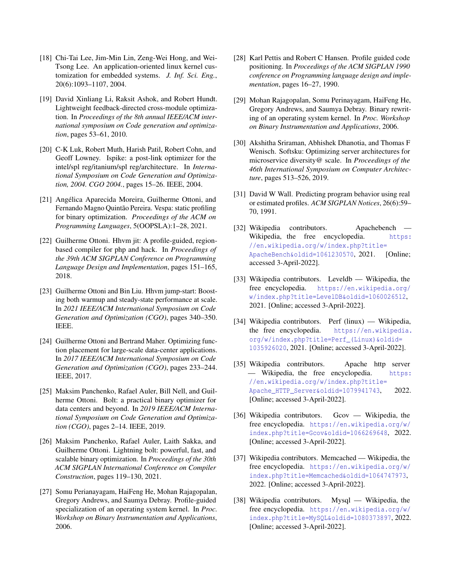- <span id="page-6-16"></span>[18] Chi-Tai Lee, Jim-Min Lin, Zeng-Wei Hong, and Wei-Tsong Lee. An application-oriented linux kernel customization for embedded systems. *J. Inf. Sci. Eng.*, 20(6):1093–1107, 2004.
- <span id="page-6-3"></span>[19] David Xinliang Li, Raksit Ashok, and Robert Hundt. Lightweight feedback-directed cross-module optimization. In *Proceedings of the 8th annual IEEE/ACM international symposium on Code generation and optimization*, pages 53–61, 2010.
- [20] C-K Luk, Robert Muth, Harish Patil, Robert Cohn, and Geoff Lowney. Ispike: a post-link optimizer for the intel/spl reg/itanium/spl reg/architecture. In *International Symposium on Code Generation and Optimization, 2004. CGO 2004.*, pages 15–26. IEEE, 2004.
- [21] Angélica Aparecida Moreira, Guilherme Ottoni, and Fernando Magno Quintão Pereira. Vespa: static profiling for binary optimization. *Proceedings of the ACM on Programming Languages*, 5(OOPSLA):1–28, 2021.
- [22] Guilherme Ottoni. Hhvm jit: A profile-guided, regionbased compiler for php and hack. In *Proceedings of the 39th ACM SIGPLAN Conference on Programming Language Design and Implementation*, pages 151–165, 2018.
- <span id="page-6-0"></span>[23] Guilherme Ottoni and Bin Liu. Hhvm jump-start: Boosting both warmup and steady-state performance at scale. In *2021 IEEE/ACM International Symposium on Code Generation and Optimization (CGO)*, pages 340–350. IEEE.
- [24] Guilherme Ottoni and Bertrand Maher. Optimizing function placement for large-scale data-center applications. In *2017 IEEE/ACM International Symposium on Code Generation and Optimization (CGO)*, pages 233–244. IEEE, 2017.
- <span id="page-6-6"></span>[25] Maksim Panchenko, Rafael Auler, Bill Nell, and Guilherme Ottoni. Bolt: a practical binary optimizer for data centers and beyond. In *2019 IEEE/ACM International Symposium on Code Generation and Optimization (CGO)*, pages 2–14. IEEE, 2019.
- <span id="page-6-1"></span>[26] Maksim Panchenko, Rafael Auler, Laith Sakka, and Guilherme Ottoni. Lightning bolt: powerful, fast, and scalable binary optimization. In *Proceedings of the 30th ACM SIGPLAN International Conference on Compiler Construction*, pages 119–130, 2021.
- <span id="page-6-15"></span>[27] Somu Perianayagam, HaiFeng He, Mohan Rajagopalan, Gregory Andrews, and Saumya Debray. Profile-guided specialization of an operating system kernel. In *Proc. Workshop on Binary Instrumentation and Applications*, 2006.
- <span id="page-6-4"></span>[28] Karl Pettis and Robert C Hansen. Profile guided code positioning. In *Proceedings of the ACM SIGPLAN 1990 conference on Programming language design and implementation*, pages 16–27, 1990.
- <span id="page-6-7"></span>[29] Mohan Rajagopalan, Somu Perinayagam, HaiFeng He, Gregory Andrews, and Saumya Debray. Binary rewriting of an operating system kernel. In *Proc. Workshop on Binary Instrumentation and Applications*, 2006.
- <span id="page-6-2"></span>[30] Akshitha Sriraman, Abhishek Dhanotia, and Thomas F Wenisch. Softsku: Optimizing server architectures for microservice diversity@ scale. In *Proceedings of the 46th International Symposium on Computer Architecture*, pages 513–526, 2019.
- <span id="page-6-5"></span>[31] David W Wall. Predicting program behavior using real or estimated profiles. *ACM SIGPLAN Notices*, 26(6):59– 70, 1991.
- <span id="page-6-9"></span>[32] Wikipedia contributors. Apachebench Wikipedia, the free encyclopedia. [https:](https://en.wikipedia.org/w/index.php?title=ApacheBench&oldid=1061230570) [//en.wikipedia.org/w/index.php?title=](https://en.wikipedia.org/w/index.php?title=ApacheBench&oldid=1061230570) [ApacheBench&oldid=1061230570](https://en.wikipedia.org/w/index.php?title=ApacheBench&oldid=1061230570), 2021. [Online; accessed 3-April-2022].
- <span id="page-6-11"></span>[33] Wikipedia contributors. Leveldb — Wikipedia, the free encyclopedia. [https://en.wikipedia.org/](https://en.wikipedia.org/w/index.php?title=LevelDB&oldid=1060026512) [w/index.php?title=LevelDB&oldid=1060026512](https://en.wikipedia.org/w/index.php?title=LevelDB&oldid=1060026512), 2021. [Online; accessed 3-April-2022].
- <span id="page-6-14"></span>[34] Wikipedia contributors. Perf (linux) — Wikipedia, the free encyclopedia. [https://en.wikipedia.](https://en.wikipedia.org/w/index.php?title=Perf_(Linux)&oldid=1035926020) [org/w/index.php?title=Perf\\_\(Linux\)&oldid=](https://en.wikipedia.org/w/index.php?title=Perf_(Linux)&oldid=1035926020) [1035926020](https://en.wikipedia.org/w/index.php?title=Perf_(Linux)&oldid=1035926020), 2021. [Online; accessed 3-April-2022].
- <span id="page-6-8"></span>[35] Wikipedia contributors. Apache http server — Wikipedia, the free encyclopedia. [https:](https://en.wikipedia.org/w/index.php?title=Apache_HTTP_Server&oldid=1079941743) [//en.wikipedia.org/w/index.php?title=](https://en.wikipedia.org/w/index.php?title=Apache_HTTP_Server&oldid=1079941743) [Apache\\_HTTP\\_Server&oldid=1079941743](https://en.wikipedia.org/w/index.php?title=Apache_HTTP_Server&oldid=1079941743), 2022. [Online; accessed 3-April-2022].
- <span id="page-6-13"></span>[36] Wikipedia contributors. Gcov — Wikipedia, the free encyclopedia. [https://en.wikipedia.org/w/](https://en.wikipedia.org/w/index.php?title=Gcov&oldid=1066269648) [index.php?title=Gcov&oldid=1066269648](https://en.wikipedia.org/w/index.php?title=Gcov&oldid=1066269648), 2022. [Online; accessed 3-April-2022].
- <span id="page-6-10"></span>[37] Wikipedia contributors. Memcached — Wikipedia, the free encyclopedia. [https://en.wikipedia.org/w/](https://en.wikipedia.org/w/index.php?title=Memcached&oldid=1064747973) [index.php?title=Memcached&oldid=1064747973](https://en.wikipedia.org/w/index.php?title=Memcached&oldid=1064747973), 2022. [Online; accessed 3-April-2022].
- <span id="page-6-12"></span>[38] Wikipedia contributors. Mysql — Wikipedia, the free encyclopedia. [https://en.wikipedia.org/w/](https://en.wikipedia.org/w/index.php?title=MySQL&oldid=1080373897) [index.php?title=MySQL&oldid=1080373897](https://en.wikipedia.org/w/index.php?title=MySQL&oldid=1080373897), 2022. [Online; accessed 3-April-2022].